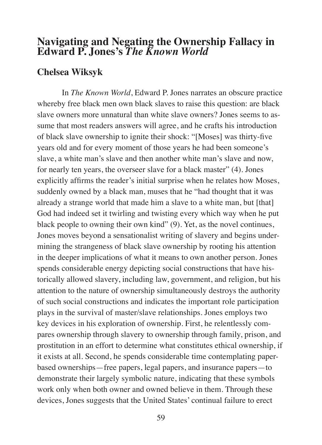# **Navigating and Negating the Ownership Fallacy in Edward P. Jones's** *The Known World*

## **Chelsea Wiksyk**

In *The Known World*, Edward P. Jones narrates an obscure practice whereby free black men own black slaves to raise this question: are black slave owners more unnatural than white slave owners? Jones seems to assume that most readers answers will agree, and he crafts his introduction of black slave ownership to ignite their shock: "[Moses] was thirty-five years old and for every moment of those years he had been someone's slave, a white man's slave and then another white man's slave and now, for nearly ten years, the overseer slave for a black master" (4). Jones explicitly affirms the reader's initial surprise when he relates how Moses, suddenly owned by a black man, muses that he "had thought that it was already a strange world that made him a slave to a white man, but [that] God had indeed set it twirling and twisting every which way when he put black people to owning their own kind" (9). Yet, as the novel continues, Jones moves beyond a sensationalist writing of slavery and begins undermining the strangeness of black slave ownership by rooting his attention in the deeper implications of what it means to own another person. Jones spends considerable energy depicting social constructions that have historically allowed slavery, including law, government, and religion, but his attention to the nature of ownership simultaneously destroys the authority of such social constructions and indicates the important role participation plays in the survival of master/slave relationships. Jones employs two key devices in his exploration of ownership. First, he relentlessly compares ownership through slavery to ownership through family, prison, and prostitution in an effort to determine what constitutes ethical ownership, if it exists at all. Second, he spends considerable time contemplating paperbased ownerships—free papers, legal papers, and insurance papers—to demonstrate their largely symbolic nature, indicating that these symbols work only when both owner and owned believe in them. Through these devices, Jones suggests that the United States' continual failure to erect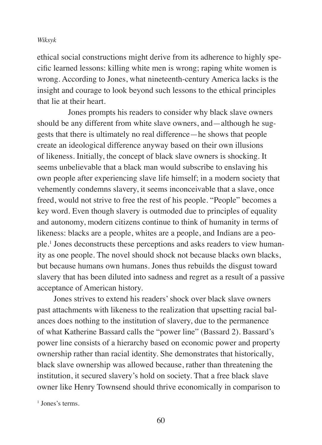ethical social constructions might derive from its adherence to highly specific learned lessons: killing white men is wrong; raping white women is wrong. According to Jones, what nineteenth-century America lacks is the insight and courage to look beyond such lessons to the ethical principles that lie at their heart.

 Jones prompts his readers to consider why black slave owners should be any different from white slave owners, and—although he suggests that there is ultimately no real difference—he shows that people create an ideological difference anyway based on their own illusions of likeness. Initially, the concept of black slave owners is shocking. It seems unbelievable that a black man would subscribe to enslaving his own people after experiencing slave life himself; in a modern society that vehemently condemns slavery, it seems inconceivable that a slave, once freed, would not strive to free the rest of his people. "People" becomes a key word. Even though slavery is outmoded due to principles of equality and autonomy, modern citizens continue to think of humanity in terms of likeness: blacks are a people, whites are a people, and Indians are a people.1 Jones deconstructs these perceptions and asks readers to view humanity as one people. The novel should shock not because blacks own blacks, but because humans own humans. Jones thus rebuilds the disgust toward slavery that has been diluted into sadness and regret as a result of a passive acceptance of American history.

 Jones strives to extend his readers' shock over black slave owners past attachments with likeness to the realization that upsetting racial balances does nothing to the institution of slavery, due to the permanence of what Katherine Bassard calls the "power line" (Bassard 2). Bassard's power line consists of a hierarchy based on economic power and property ownership rather than racial identity. She demonstrates that historically, black slave ownership was allowed because, rather than threatening the institution, it secured slavery's hold on society. That a free black slave owner like Henry Townsend should thrive economically in comparison to

1 Jones's terms.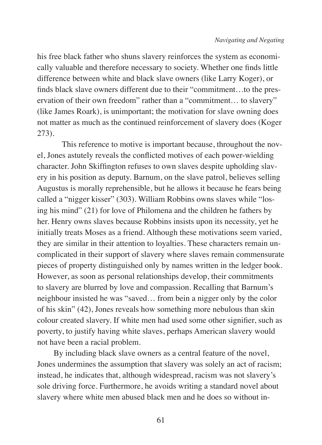his free black father who shuns slavery reinforces the system as economically valuable and therefore necessary to society. Whether one finds little difference between white and black slave owners (like Larry Koger), or finds black slave owners different due to their "commitment…to the preservation of their own freedom" rather than a "commitment… to slavery" (like James Roark), is unimportant; the motivation for slave owning does not matter as much as the continued reinforcement of slavery does (Koger 273).

This reference to motive is important because, throughout the novel, Jones astutely reveals the conflicted motives of each power-wielding character. John Skiffington refuses to own slaves despite upholding slavery in his position as deputy. Barnum, on the slave patrol, believes selling Augustus is morally reprehensible, but he allows it because he fears being called a "nigger kisser" (303). William Robbins owns slaves while "losing his mind" (21) for love of Philomena and the children he fathers by her. Henry owns slaves because Robbins insists upon its necessity, yet he initially treats Moses as a friend. Although these motivations seem varied, they are similar in their attention to loyalties. These characters remain uncomplicated in their support of slavery where slaves remain commensurate pieces of property distinguished only by names written in the ledger book. However, as soon as personal relationships develop, their commitments to slavery are blurred by love and compassion. Recalling that Barnum's neighbour insisted he was "saved… from bein a nigger only by the color of his skin" (42), Jones reveals how something more nebulous than skin colour created slavery. If white men had used some other signifier, such as poverty, to justify having white slaves, perhaps American slavery would not have been a racial problem.

 By including black slave owners as a central feature of the novel, Jones undermines the assumption that slavery was solely an act of racism; instead, he indicates that, although widespread, racism was not slavery's sole driving force. Furthermore, he avoids writing a standard novel about slavery where white men abused black men and he does so without in-

61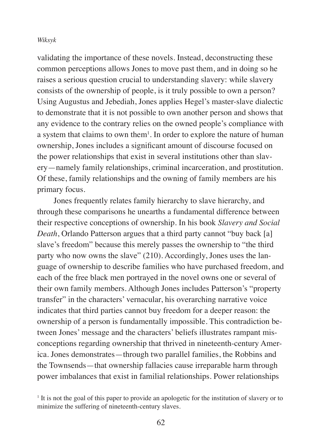validating the importance of these novels. Instead, deconstructing these common perceptions allows Jones to move past them, and in doing so he raises a serious question crucial to understanding slavery: while slavery consists of the ownership of people, is it truly possible to own a person? Using Augustus and Jebediah, Jones applies Hegel's master-slave dialectic to demonstrate that it is not possible to own another person and shows that any evidence to the contrary relies on the owned people's compliance with a system that claims to own them<sup>1</sup>. In order to explore the nature of human ownership, Jones includes a significant amount of discourse focused on the power relationships that exist in several institutions other than slavery—namely family relationships, criminal incarceration, and prostitution. Of these, family relationships and the owning of family members are his primary focus.

 Jones frequently relates family hierarchy to slave hierarchy, and through these comparisons he unearths a fundamental difference between their respective conceptions of ownership. In his book *Slavery and Social Death*, Orlando Patterson argues that a third party cannot "buy back [a] slave's freedom" because this merely passes the ownership to "the third party who now owns the slave" (210). Accordingly, Jones uses the language of ownership to describe families who have purchased freedom, and each of the free black men portrayed in the novel owns one or several of their own family members. Although Jones includes Patterson's "property transfer" in the characters' vernacular, his overarching narrative voice indicates that third parties cannot buy freedom for a deeper reason: the ownership of a person is fundamentally impossible. This contradiction between Jones' message and the characters' beliefs illustrates rampant misconceptions regarding ownership that thrived in nineteenth-century America. Jones demonstrates—through two parallel families, the Robbins and the Townsends—that ownership fallacies cause irreparable harm through power imbalances that exist in familial relationships. Power relationships

<sup>&</sup>lt;sup>1</sup> It is not the goal of this paper to provide an apologetic for the institution of slavery or to minimize the suffering of nineteenth-century slaves.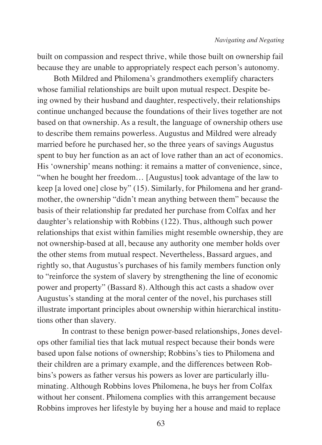built on compassion and respect thrive, while those built on ownership fail because they are unable to appropriately respect each person's autonomy.

 Both Mildred and Philomena's grandmothers exemplify characters whose familial relationships are built upon mutual respect. Despite being owned by their husband and daughter, respectively, their relationships continue unchanged because the foundations of their lives together are not based on that ownership. As a result, the language of ownership others use to describe them remains powerless. Augustus and Mildred were already married before he purchased her, so the three years of savings Augustus spent to buy her function as an act of love rather than an act of economics. His 'ownership' means nothing: it remains a matter of convenience, since, "when he bought her freedom… [Augustus] took advantage of the law to keep [a loved one] close by" (15). Similarly, for Philomena and her grandmother, the ownership "didn't mean anything between them" because the basis of their relationship far predated her purchase from Colfax and her daughter's relationship with Robbins (122). Thus, although such power relationships that exist within families might resemble ownership, they are not ownership-based at all, because any authority one member holds over the other stems from mutual respect. Nevertheless, Bassard argues, and rightly so, that Augustus's purchases of his family members function only to "reinforce the system of slavery by strengthening the line of economic power and property" (Bassard 8). Although this act casts a shadow over Augustus's standing at the moral center of the novel, his purchases still illustrate important principles about ownership within hierarchical institutions other than slavery.

In contrast to these benign power-based relationships, Jones develops other familial ties that lack mutual respect because their bonds were based upon false notions of ownership; Robbins's ties to Philomena and their children are a primary example, and the differences between Robbins's powers as father versus his powers as lover are particularly illuminating. Although Robbins loves Philomena, he buys her from Colfax without her consent. Philomena complies with this arrangement because Robbins improves her lifestyle by buying her a house and maid to replace

63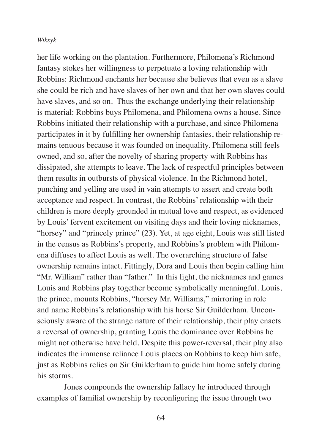her life working on the plantation. Furthermore, Philomena's Richmond fantasy stokes her willingness to perpetuate a loving relationship with Robbins: Richmond enchants her because she believes that even as a slave she could be rich and have slaves of her own and that her own slaves could have slaves, and so on. Thus the exchange underlying their relationship is material: Robbins buys Philomena, and Philomena owns a house. Since Robbins initiated their relationship with a purchase, and since Philomena participates in it by fulfilling her ownership fantasies, their relationship remains tenuous because it was founded on inequality. Philomena still feels owned, and so, after the novelty of sharing property with Robbins has dissipated, she attempts to leave. The lack of respectful principles between them results in outbursts of physical violence. In the Richmond hotel, punching and yelling are used in vain attempts to assert and create both acceptance and respect. In contrast, the Robbins' relationship with their children is more deeply grounded in mutual love and respect, as evidenced by Louis' fervent excitement on visiting days and their loving nicknames, "horsey" and "princely prince" (23). Yet, at age eight, Louis was still listed in the census as Robbins's property, and Robbins's problem with Philomena diffuses to affect Louis as well. The overarching structure of false ownership remains intact. Fittingly, Dora and Louis then begin calling him "Mr. William" rather than "father." In this light, the nicknames and games Louis and Robbins play together become symbolically meaningful. Louis, the prince, mounts Robbins, "horsey Mr. Williams," mirroring in role and name Robbins's relationship with his horse Sir Guilderham. Unconsciously aware of the strange nature of their relationship, their play enacts a reversal of ownership, granting Louis the dominance over Robbins he might not otherwise have held. Despite this power-reversal, their play also indicates the immense reliance Louis places on Robbins to keep him safe, just as Robbins relies on Sir Guilderham to guide him home safely during his storms.

 Jones compounds the ownership fallacy he introduced through examples of familial ownership by reconfiguring the issue through two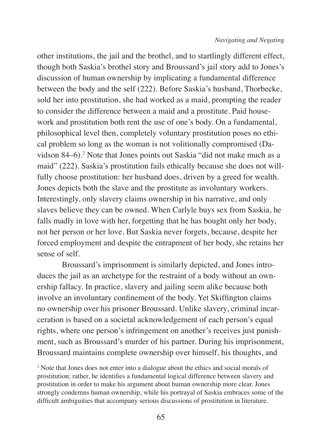other institutions, the jail and the brothel, and to startlingly different effect, though both Saskia's brothel story and Broussard's jail story add to Jones's discussion of human ownership by implicating a fundamental difference between the body and the self (222). Before Saskia's husband, Thorbecke, sold her into prostitution, she had worked as a maid, prompting the reader to consider the difference between a maid and a prostitute. Paid housework and prostitution both rent the use of one's body. On a fundamental, philosophical level then, completely voluntary prostitution poses no ethical problem so long as the woman is not volitionally compromised (Davidson 84–6).<sup>2</sup> Note that Jones points out Saskia "did not make much as a maid" (222). Saskia's prostitution fails ethically because she does not willfully choose prostitution: her husband does, driven by a greed for wealth. Jones depicts both the slave and the prostitute as involuntary workers. Interestingly, only slavery claims ownership in his narrative, and only slaves believe they can be owned. When Carlyle buys sex from Saskia, he falls madly in love with her, forgetting that he has bought only her body, not her person or her love. But Saskia never forgets, because, despite her forced employment and despite the entrapment of her body, she retains her sense of self.

Broussard's imprisonment is similarly depicted, and Jones introduces the jail as an archetype for the restraint of a body without an ownership fallacy. In practice, slavery and jailing seem alike because both involve an involuntary confinement of the body. Yet Skiffington claims no ownership over his prisoner Broussard. Unlike slavery, criminal incarceration is based on a societal acknowledgement of each person's equal rights, where one person's infringement on another's receives just punishment, such as Broussard's murder of his partner. During his imprisonment, Broussard maintains complete ownership over himself, his thoughts, and

<sup>2</sup> Note that Jones does not enter into a dialogue about the ethics and social morals of prostitution; rather, he identifies a fundamental logical difference between slavery and prostitution in order to make his argument about human ownership more clear. Jones strongly condemns human ownership, while his portrayal of Saskia embraces some of the difficult ambiguities that accompany serious discussions of prostitution in literature.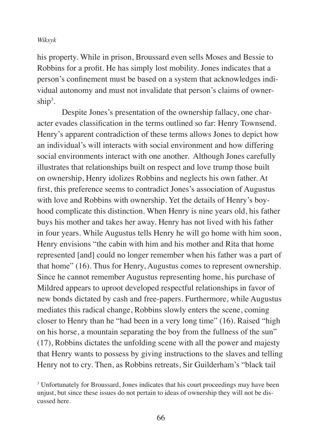his property. While in prison, Broussard even sells Moses and Bessie to Robbins for a profit. He has simply lost mobility. Jones indicates that a person's confinement must be based on a system that acknowledges individual autonomy and must not invalidate that person's claims of owner $ship<sup>3</sup>$ .

Despite Jones's presentation of the ownership fallacy, one character evades classification in the terms outlined so far: Henry Townsend. Henry's apparent contradiction of these terms allows Jones to depict how an individual's will interacts with social environment and how differing social environments interact with one another. Although Jones carefully illustrates that relationships built on respect and love trump those built on ownership, Henry idolizes Robbins and neglects his own father. At first, this preference seems to contradict Jones's association of Augustus with love and Robbins with ownership. Yet the details of Henry's boyhood complicate this distinction. When Henry is nine years old, his father buys his mother and takes her away. Henry has not lived with his father in four years. While Augustus tells Henry he will go home with him soon, Henry envisions "the cabin with him and his mother and Rita that home represented [and] could no longer remember when his father was a part of that home" (16). Thus for Henry, Augustus comes to represent ownership. Since he cannot remember Augustus representing home, his purchase of Mildred appears to uproot developed respectful relationships in favor of new bonds dictated by cash and free-papers. Furthermore, while Augustus mediates this radical change, Robbins slowly enters the scene, coming closer to Henry than he "had been in a very long time" (16). Raised "high on his horse, a mountain separating the boy from the fullness of the sun" (17), Robbins dictates the unfolding scene with all the power and majesty that Henry wants to possess by giving instructions to the slaves and telling Henry not to cry. Then, as Robbins retreats, Sir Guilderham's "black tail

<sup>&</sup>lt;sup>3</sup> Unfortunately for Broussard, Jones indicates that his court proceedings may have been unjust, but since these issues do not pertain to ideas of ownership they will not be discussed here.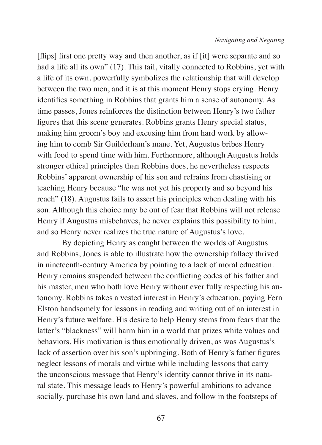[flips] first one pretty way and then another, as if [it] were separate and so had a life all its own" (17). This tail, vitally connected to Robbins, yet with a life of its own, powerfully symbolizes the relationship that will develop between the two men, and it is at this moment Henry stops crying. Henry identifies something in Robbins that grants him a sense of autonomy. As time passes, Jones reinforces the distinction between Henry's two father figures that this scene generates. Robbins grants Henry special status, making him groom's boy and excusing him from hard work by allowing him to comb Sir Guilderham's mane. Yet, Augustus bribes Henry with food to spend time with him. Furthermore, although Augustus holds stronger ethical principles than Robbins does, he nevertheless respects Robbins' apparent ownership of his son and refrains from chastising or teaching Henry because "he was not yet his property and so beyond his reach" (18). Augustus fails to assert his principles when dealing with his son. Although this choice may be out of fear that Robbins will not release Henry if Augustus misbehaves, he never explains this possibility to him, and so Henry never realizes the true nature of Augustus's love.

By depicting Henry as caught between the worlds of Augustus and Robbins, Jones is able to illustrate how the ownership fallacy thrived in nineteenth-century America by pointing to a lack of moral education. Henry remains suspended between the conflicting codes of his father and his master, men who both love Henry without ever fully respecting his autonomy. Robbins takes a vested interest in Henry's education, paying Fern Elston handsomely for lessons in reading and writing out of an interest in Henry's future welfare. His desire to help Henry stems from fears that the latter's "blackness" will harm him in a world that prizes white values and behaviors. His motivation is thus emotionally driven, as was Augustus's lack of assertion over his son's upbringing. Both of Henry's father figures neglect lessons of morals and virtue while including lessons that carry the unconscious message that Henry's identity cannot thrive in its natural state. This message leads to Henry's powerful ambitions to advance socially, purchase his own land and slaves, and follow in the footsteps of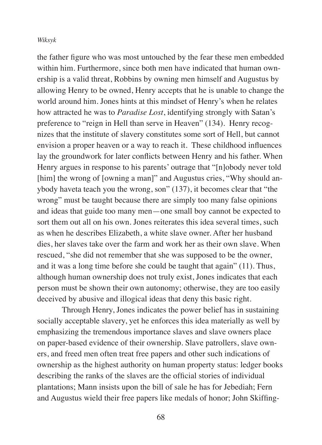the father figure who was most untouched by the fear these men embedded within him. Furthermore, since both men have indicated that human ownership is a valid threat, Robbins by owning men himself and Augustus by allowing Henry to be owned, Henry accepts that he is unable to change the world around him. Jones hints at this mindset of Henry's when he relates how attracted he was to *Paradise Lost*, identifying strongly with Satan's preference to "reign in Hell than serve in Heaven" (134). Henry recognizes that the institute of slavery constitutes some sort of Hell, but cannot envision a proper heaven or a way to reach it. These childhood influences lay the groundwork for later conflicts between Henry and his father. When Henry argues in response to his parents' outrage that "[n]obody never told [him] the wrong of [owning a man]" and Augustus cries, "Why should anybody haveta teach you the wrong, son" (137), it becomes clear that "the wrong" must be taught because there are simply too many false opinions and ideas that guide too many men—one small boy cannot be expected to sort them out all on his own. Jones reiterates this idea several times, such as when he describes Elizabeth, a white slave owner. After her husband dies, her slaves take over the farm and work her as their own slave. When rescued, "she did not remember that she was supposed to be the owner, and it was a long time before she could be taught that again" (11). Thus, although human ownership does not truly exist, Jones indicates that each person must be shown their own autonomy; otherwise, they are too easily deceived by abusive and illogical ideas that deny this basic right.

Through Henry, Jones indicates the power belief has in sustaining socially acceptable slavery, yet he enforces this idea materially as well by emphasizing the tremendous importance slaves and slave owners place on paper-based evidence of their ownership. Slave patrollers, slave owners, and freed men often treat free papers and other such indications of ownership as the highest authority on human property status: ledger books describing the ranks of the slaves are the official stories of individual plantations; Mann insists upon the bill of sale he has for Jebediah; Fern and Augustus wield their free papers like medals of honor; John Skiffing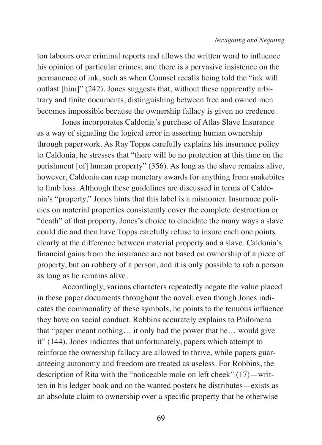ton labours over criminal reports and allows the written word to influence his opinion of particular crimes; and there is a pervasive insistence on the permanence of ink, such as when Counsel recalls being told the "ink will outlast [him]" (242). Jones suggests that, without these apparently arbitrary and finite documents, distinguishing between free and owned men becomes impossible because the ownership fallacy is given no credence.

Jones incorporates Caldonia's purchase of Atlas Slave Insurance as a way of signaling the logical error in asserting human ownership through paperwork. As Ray Topps carefully explains his insurance policy to Caldonia, he stresses that "there will be no protection at this time on the perishment [of] human property" (356). As long as the slave remains alive, however, Caldonia can reap monetary awards for anything from snakebites to limb loss. Although these guidelines are discussed in terms of Caldonia's "property," Jones hints that this label is a misnomer. Insurance policies on material properties consistently cover the complete destruction or "death" of that property. Jones's choice to elucidate the many ways a slave could die and then have Topps carefully refuse to insure each one points clearly at the difference between material property and a slave. Caldonia's financial gains from the insurance are not based on ownership of a piece of property, but on robbery of a person, and it is only possible to rob a person as long as he remains alive.

Accordingly, various characters repeatedly negate the value placed in these paper documents throughout the novel; even though Jones indicates the commonality of these symbols, he points to the tenuous influence they have on social conduct. Robbins accurately explains to Philomena that "paper meant nothing… it only had the power that he… would give it" (144). Jones indicates that unfortunately, papers which attempt to reinforce the ownership fallacy are allowed to thrive, while papers guaranteeing autonomy and freedom are treated as useless. For Robbins, the description of Rita with the "noticeable mole on left cheek" (17)—written in his ledger book and on the wanted posters he distributes—exists as an absolute claim to ownership over a specific property that he otherwise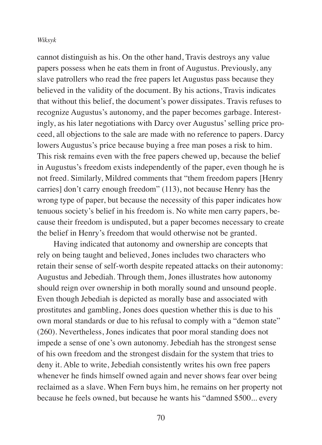cannot distinguish as his. On the other hand, Travis destroys any value papers possess when he eats them in front of Augustus. Previously, any slave patrollers who read the free papers let Augustus pass because they believed in the validity of the document. By his actions, Travis indicates that without this belief, the document's power dissipates. Travis refuses to recognize Augustus's autonomy, and the paper becomes garbage. Interestingly, as his later negotiations with Darcy over Augustus' selling price proceed, all objections to the sale are made with no reference to papers. Darcy lowers Augustus's price because buying a free man poses a risk to him. This risk remains even with the free papers chewed up, because the belief in Augustus's freedom exists independently of the paper, even though he is not freed. Similarly, Mildred comments that "them freedom papers [Henry carries] don't carry enough freedom" (113), not because Henry has the wrong type of paper, but because the necessity of this paper indicates how tenuous society's belief in his freedom is. No white men carry papers, because their freedom is undisputed, but a paper becomes necessary to create the belief in Henry's freedom that would otherwise not be granted.

 Having indicated that autonomy and ownership are concepts that rely on being taught and believed, Jones includes two characters who retain their sense of self-worth despite repeated attacks on their autonomy: Augustus and Jebediah. Through them, Jones illustrates how autonomy should reign over ownership in both morally sound and unsound people. Even though Jebediah is depicted as morally base and associated with prostitutes and gambling, Jones does question whether this is due to his own moral standards or due to his refusal to comply with a "demon state" (260). Nevertheless, Jones indicates that poor moral standing does not impede a sense of one's own autonomy. Jebediah has the strongest sense of his own freedom and the strongest disdain for the system that tries to deny it. Able to write, Jebediah consistently writes his own free papers whenever he finds himself owned again and never shows fear over being reclaimed as a slave. When Fern buys him, he remains on her property not because he feels owned, but because he wants his "damned \$500... every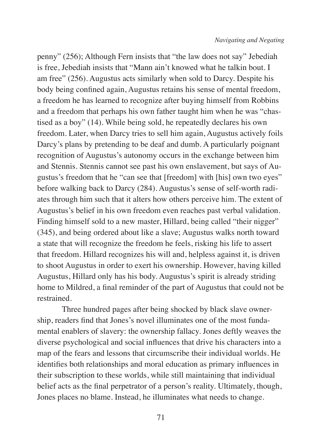penny" (256); Although Fern insists that "the law does not say" Jebediah is free, Jebediah insists that "Mann ain't knowed what he talkin bout. I am free" (256). Augustus acts similarly when sold to Darcy. Despite his body being confined again, Augustus retains his sense of mental freedom, a freedom he has learned to recognize after buying himself from Robbins and a freedom that perhaps his own father taught him when he was "chastised as a boy" (14). While being sold, he repeatedly declares his own freedom. Later, when Darcy tries to sell him again, Augustus actively foils Darcy's plans by pretending to be deaf and dumb. A particularly poignant recognition of Augustus's autonomy occurs in the exchange between him and Stennis. Stennis cannot see past his own enslavement, but says of Augustus's freedom that he "can see that [freedom] with [his] own two eyes" before walking back to Darcy (284). Augustus's sense of self-worth radiates through him such that it alters how others perceive him. The extent of Augustus's belief in his own freedom even reaches past verbal validation. Finding himself sold to a new master, Hillard, being called "their nigger" (345), and being ordered about like a slave; Augustus walks north toward a state that will recognize the freedom he feels, risking his life to assert that freedom. Hillard recognizes his will and, helpless against it, is driven to shoot Augustus in order to exert his ownership. However, having killed Augustus, Hillard only has his body. Augustus's spirit is already striding home to Mildred, a final reminder of the part of Augustus that could not be restrained.

Three hundred pages after being shocked by black slave ownership, readers find that Jones's novel illuminates one of the most fundamental enablers of slavery: the ownership fallacy. Jones deftly weaves the diverse psychological and social influences that drive his characters into a map of the fears and lessons that circumscribe their individual worlds. He identifies both relationships and moral education as primary influences in their subscription to these worlds, while still maintaining that individual belief acts as the final perpetrator of a person's reality. Ultimately, though, Jones places no blame. Instead, he illuminates what needs to change.